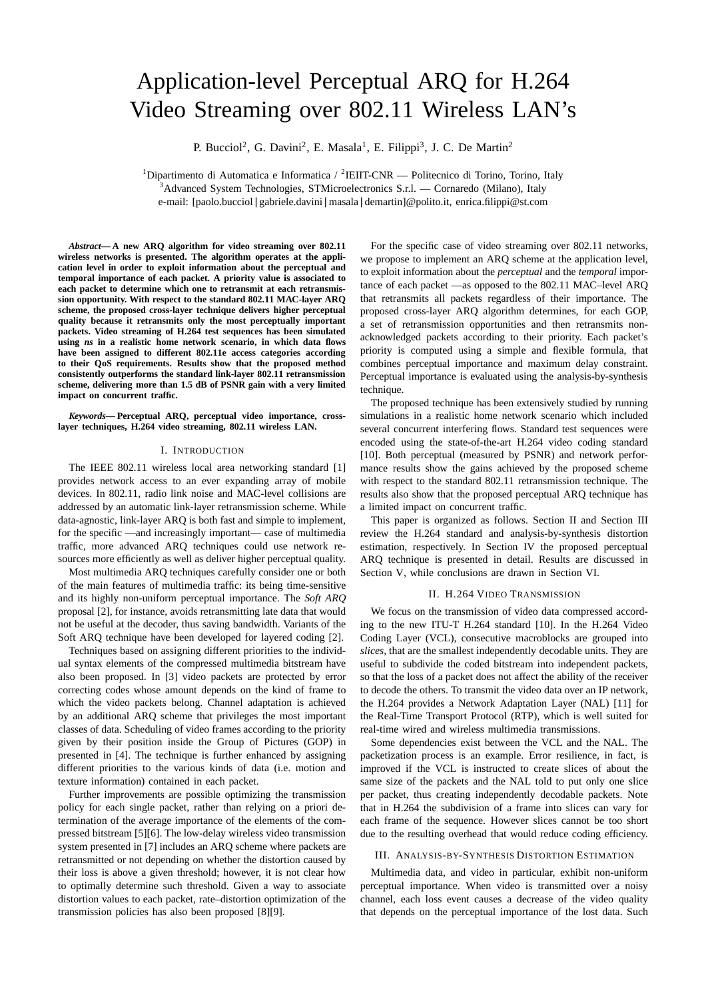# Application-level Perceptual ARQ for H.264 Video Streaming over 802.11 Wireless LAN's

P. Bucciol<sup>2</sup>, G. Davini<sup>2</sup>, E. Masala<sup>1</sup>, E. Filippi<sup>3</sup>, J. C. De Martin<sup>2</sup>

<sup>1</sup>Dipartimento di Automatica e Informatica / <sup>2</sup>IEIIT-CNR — Politecnico di Torino, Torino, Italy <sup>3</sup>Advanced System Technologies, STMicroelectronics S.r.l. — Cornaredo (Milano), Italy e-mail: [paolo.bucciol|gabriele.davini|masala|demartin]@polito.it, enrica.filippi@st.com

*Abstract***— A new ARQ algorithm for video streaming over 802.11 wireless networks is presented. The algorithm operates at the application level in order to exploit information about the perceptual and temporal importance of each packet. A priority value is associated to each packet to determine which one to retransmit at each retransmission opportunity. With respect to the standard 802.11 MAC-layer ARQ scheme, the proposed cross-layer technique delivers higher perceptual quality because it retransmits only the most perceptually important packets. Video streaming of H.264 test sequences has been simulated using** *ns* **in a realistic home network scenario, in which data flows have been assigned to different 802.11e access categories according to their QoS requirements. Results show that the proposed method consistently outperforms the standard link-layer 802.11 retransmission scheme, delivering more than 1.5 dB of PSNR gain with a very limited impact on concurrent traffic.**

*Keywords***— Perceptual ARQ, perceptual video importance, crosslayer techniques, H.264 video streaming, 802.11 wireless LAN.**

#### I. INTRODUCTION

The IEEE 802.11 wireless local area networking standard [1] provides network access to an ever expanding array of mobile devices. In 802.11, radio link noise and MAC-level collisions are addressed by an automatic link-layer retransmission scheme. While data-agnostic, link-layer ARQ is both fast and simple to implement, for the specific —and increasingly important— case of multimedia traffic, more advanced ARQ techniques could use network resources more efficiently as well as deliver higher perceptual quality.

Most multimedia ARQ techniques carefully consider one or both of the main features of multimedia traffic: its being time-sensitive and its highly non-uniform perceptual importance. The *Soft ARQ* proposal [2], for instance, avoids retransmitting late data that would not be useful at the decoder, thus saving bandwidth. Variants of the Soft ARQ technique have been developed for layered coding [2].

Techniques based on assigning different priorities to the individual syntax elements of the compressed multimedia bitstream have also been proposed. In [3] video packets are protected by error correcting codes whose amount depends on the kind of frame to which the video packets belong. Channel adaptation is achieved by an additional ARQ scheme that privileges the most important classes of data. Scheduling of video frames according to the priority given by their position inside the Group of Pictures (GOP) in presented in [4]. The technique is further enhanced by assigning different priorities to the various kinds of data (i.e. motion and texture information) contained in each packet.

Further improvements are possible optimizing the transmission policy for each single packet, rather than relying on a priori determination of the average importance of the elements of the compressed bitstream [5][6]. The low-delay wireless video transmission system presented in [7] includes an ARQ scheme where packets are retransmitted or not depending on whether the distortion caused by their loss is above a given threshold; however, it is not clear how to optimally determine such threshold. Given a way to associate distortion values to each packet, rate–distortion optimization of the transmission policies has also been proposed [8][9].

For the specific case of video streaming over 802.11 networks, we propose to implement an ARQ scheme at the application level, to exploit information about the *perceptual* and the *temporal* importance of each packet —as opposed to the 802.11 MAC–level ARQ that retransmits all packets regardless of their importance. The proposed cross-layer ARQ algorithm determines, for each GOP, a set of retransmission opportunities and then retransmits nonacknowledged packets according to their priority. Each packet's priority is computed using a simple and flexible formula, that combines perceptual importance and maximum delay constraint. Perceptual importance is evaluated using the analysis-by-synthesis technique.

The proposed technique has been extensively studied by running simulations in a realistic home network scenario which included several concurrent interfering flows. Standard test sequences were encoded using the state-of-the-art H.264 video coding standard [10]. Both perceptual (measured by PSNR) and network performance results show the gains achieved by the proposed scheme with respect to the standard 802.11 retransmission technique. The results also show that the proposed perceptual ARQ technique has a limited impact on concurrent traffic.

This paper is organized as follows. Section II and Section III review the H.264 standard and analysis-by-synthesis distortion estimation, respectively. In Section IV the proposed perceptual ARQ technique is presented in detail. Results are discussed in Section V, while conclusions are drawn in Section VI.

#### II. H.264 VIDEO TRANSMISSION

We focus on the transmission of video data compressed according to the new ITU-T H.264 standard [10]. In the H.264 Video Coding Layer (VCL), consecutive macroblocks are grouped into *slices*, that are the smallest independently decodable units. They are useful to subdivide the coded bitstream into independent packets, so that the loss of a packet does not affect the ability of the receiver to decode the others. To transmit the video data over an IP network, the H.264 provides a Network Adaptation Layer (NAL) [11] for the Real-Time Transport Protocol (RTP), which is well suited for real-time wired and wireless multimedia transmissions.

Some dependencies exist between the VCL and the NAL. The packetization process is an example. Error resilience, in fact, is improved if the VCL is instructed to create slices of about the same size of the packets and the NAL told to put only one slice per packet, thus creating independently decodable packets. Note that in H.264 the subdivision of a frame into slices can vary for each frame of the sequence. However slices cannot be too short due to the resulting overhead that would reduce coding efficiency.

#### III. ANALYSIS-BY-SYNTHESIS DISTORTION ESTIMATION

Multimedia data, and video in particular, exhibit non-uniform perceptual importance. When video is transmitted over a noisy channel, each loss event causes a decrease of the video quality that depends on the perceptual importance of the lost data. Such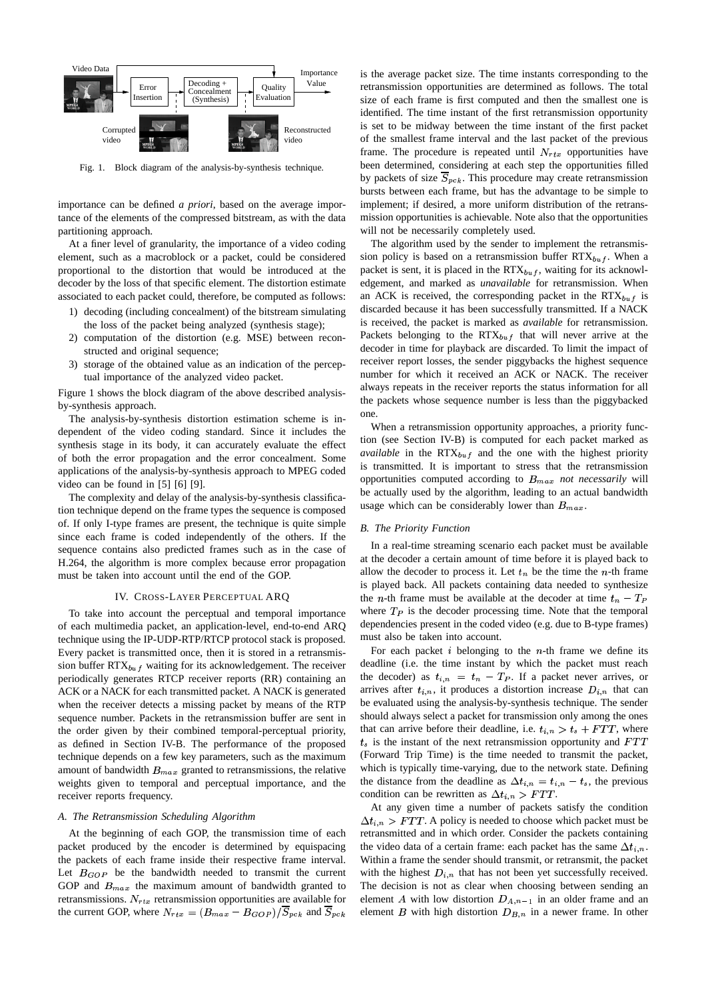

Fig. 1. Block diagram of the analysis-by-synthesis technique.

importance can be defined *a priori*, based on the average importance of the elements of the compressed bitstream, as with the data partitioning approach.

At a finer level of granularity, the importance of a video coding element, such as a macroblock or a packet, could be considered proportional to the distortion that would be introduced at the decoder by the loss of that specific element. The distortion estimate associated to each packet could, therefore, be computed as follows:

- 1) decoding (including concealment) of the bitstream simulating the loss of the packet being analyzed (synthesis stage);
- 2) computation of the distortion (e.g. MSE) between reconstructed and original sequence;
- 3) storage of the obtained value as an indication of the perceptual importance of the analyzed video packet.

Figure 1 shows the block diagram of the above described analysisby-synthesis approach.

The analysis-by-synthesis distortion estimation scheme is independent of the video coding standard. Since it includes the synthesis stage in its body, it can accurately evaluate the effect of both the error propagation and the error concealment. Some applications of the analysis-by-synthesis approach to MPEG coded video can be found in [5] [6] [9].

The complexity and delay of the analysis-by-synthesis classification technique depend on the frame types the sequence is composed of. If only I-type frames are present, the technique is quite simple since each frame is coded independently of the others. If the sequence contains also predicted frames such as in the case of H.264, the algorithm is more complex because error propagation must be taken into account until the end of the GOP.

### IV. CROSS-LAYER PERCEPTUAL ARQ

To take into account the perceptual and temporal importance of each multimedia packet, an application-level, end-to-end ARQ technique using the IP-UDP-RTP/RTCP protocol stack is proposed. Every packet is transmitted once, then it is stored in a retransmission buffer  $RTX_{buf}$  waiting for its acknowledgement. The receiver periodically generates RTCP receiver reports (RR) containing an ACK or a NACK for each transmitted packet. A NACK is generated when the receiver detects a missing packet by means of the RTP sequence number. Packets in the retransmission buffer are sent in the order given by their combined temporal-perceptual priority, as defined in Section IV-B. The performance of the proposed technique depends on a few key parameters, such as the maximum amount of bandwidth  $B_{max}$  granted to retransmissions, the relative weights given to temporal and perceptual importance, and the receiver reports frequency.

#### *A. The Retransmission Scheduling Algorithm*

At the beginning of each GOP, the transmission time of each packet produced by the encoder is determined by equispacing the packets of each frame inside their respective frame interval. Let  $B_{GOP}$  be the bandwidth needed to transmit the current GOP and  $B_{max}$  the maximum amount of bandwidth granted to retransmissions.  $N_{rtx}$  retransmission opportunities are available for the current GOP, where  $N_{rtx} = (B_{max} - B_{GOP})/S_{pck}$  and  $S_{pck}$  elem

is the average packet size. The time instants corresponding to the retransmission opportunities are determined as follows. The total size of each frame is first computed and then the smallest one is identified. The time instant of the first retransmission opportunity is set to be midway between the time instant of the first packet of the smallest frame interval and the last packet of the previous frame. The procedure is repeated until  $N_{rtx}$  opportunities have been determined, considering at each step the opportunities filled by packets of size  $\overline{S}_{pck}$ . This procedure may create retransmission bursts between each frame, but has the advantage to be simple to implement; if desired, a more uniform distribution of the retransmission opportunities is achievable. Note also that the opportunities will not be necessarily completely used.

The algorithm used by the sender to implement the retransmission policy is based on a retransmission buffer  $RTX_{buf}$ . When a packet is sent, it is placed in the  $RTX_{buf}$ , waiting for its acknowledgement, and marked as *unavailable* for retransmission. When an ACK is received, the corresponding packet in the  $RTX_{huf}$  is discarded because it has been successfully transmitted. If a NACK is received, the packet is marked as *available* for retransmission. Packets belonging to the  $RTX_{buf}$  that will never arrive at the decoder in time for playback are discarded. To limit the impact of receiver report losses, the sender piggybacks the highest sequence number for which it received an ACK or NACK. The receiver always repeats in the receiver reports the status information for all the packets whose sequence number is less than the piggybacked one.

When a retransmission opportunity approaches, a priority function (see Section IV-B) is computed for each packet marked as  $available$  in the  $RTX_{buf}$  and the one with the highest priority is transmitted. It is important to stress that the retransmission opportunities computed according to  $B_{max}$  *not necessarily* will be actually used by the algorithm, leading to an actual bandwidth usage which can be considerably lower than  $B_{max}$ . .

#### *B. The Priority Function*

In a real-time streaming scenario each packet must be available at the decoder a certain amount of time before it is played back to allow the decoder to process it. Let  $t_n$  be the time the  $n$ -th frame is played back. All packets containing data needed to synthesize the *n*-th frame must be available at the decoder at time  $t_n - T_P$ where  $T_P$  is the decoder processing time. Note that the temporal dependencies present in the coded video (e.g. due to B-type frames) must also be taken into account.

For each packet  $i$  belonging to the  $n$ -th frame we define its deadline (i.e. the time instant by which the packet must reach the decoder) as  $t_{i,n} = t_n - T_P$ . If a packet never arrives, or arrives after  $t_{i,n}$ , it produces a distortion increase  $D_{i,n}$  that can be evaluated using the analysis-by-synthesis technique. The sender should always select a packet for transmission only among the ones that can arrive before their deadline, i.e.  $t_{i,n} > t_s + FTT$ , where  $t_s$  is the instant of the next retransmission opportunity and  $FTT$ (Forward Trip Time) is the time needed to transmit the packet, which is typically time-varying, due to the network state. Defining the distance from the deadline as  $\Delta t_{i,n} = t_{i,n} - t_s$ , the previous condition can be rewritten as  $\Delta t_{i,n} > FTT$ .

At any given time a number of packets satisfy the condition  $\Delta t_{i,n} > FTT$ . A policy is needed to choose which packet must be retransmitted and in which order. Consider the packets containing the video data of a certain frame: each packet has the same  $\Delta t_{i,n}$ . Within a frame the sender should transmit, or retransmit, the packet with the highest  $D_{i,n}$  that has not been yet successfully received. The decision is not as clear when choosing between sending an element A with low distortion  $D_{A,n-1}$  in an older frame and an element *B* with high distortion  $D_{B,n}$  in a newer frame. In other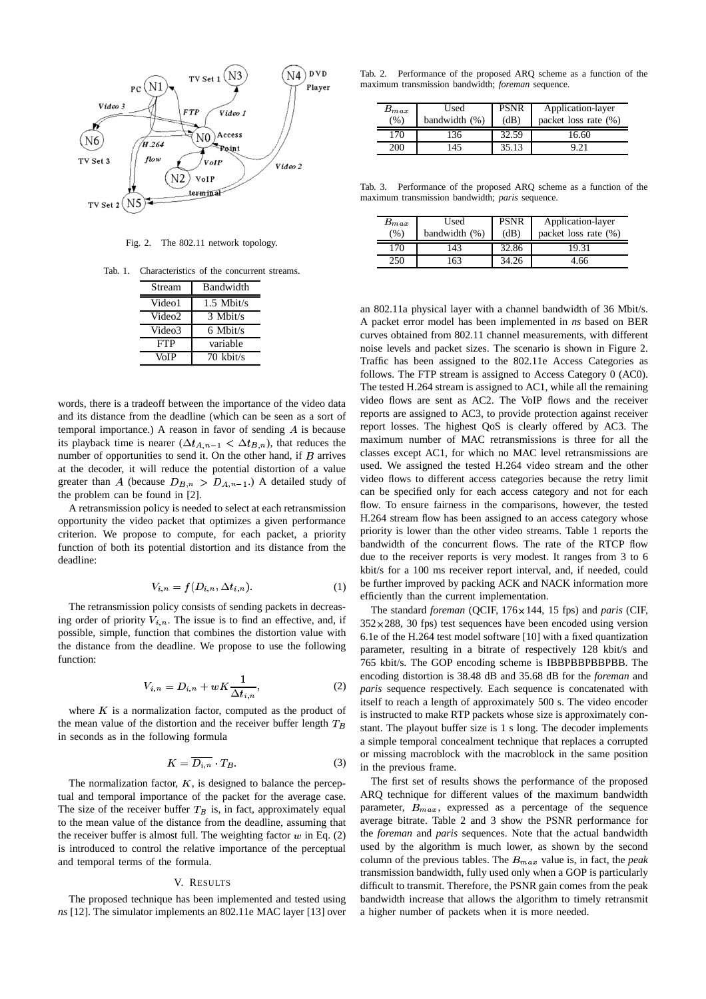

Fig. 2. The 802.11 network topology.

Tab. 1. Characteristics of the concurrent streams.

| Stream     | Bandwidth      |  |  |
|------------|----------------|--|--|
| Video1     | $1.5$ Mbit/s   |  |  |
| Video2     | $3$ Mbit/s     |  |  |
| Video3     | 6 Mbit/s       |  |  |
| <b>FTP</b> | variable       |  |  |
| VoIP       | $70 \;$ kbit/s |  |  |

words, there is a tradeoff between the importance of the video data and its distance from the deadline (which can be seen as a sort of temporal importance.) A reason in favor of sending <sup>A</sup> is because its playback time is nearer  $(\Delta t_{A,n-1} < \Delta t_{B,n})$ , that reduces the number of opportunities to send it. On the other hand, if  $B$  arrives at the decoder, it will reduce the potential distortion of a value greater than A (because  $D_{B,n} > D_{A,n-1}$ .) A detailed study of the problem can be found in [2].

A retransmission policy is needed to select at each retransmission opportunity the video packet that optimizes a given performance criterion. We propose to compute, for each packet, a priority function of both its potential distortion and its distance from the deadline:

$$
V_{i,n} = f(D_{i,n}, \Delta t_{i,n}).
$$
\n<sup>(1)</sup>

The retransmission policy consists of sending packets in decreasing order of priority  $V_{i,n}$ . The issue is to find an effective, and, if possible, simple, function that combines the distortion value with the distance from the deadline. We propose to use the following function:

$$
V_{i,n} = D_{i,n} + wK \frac{1}{\Delta t_{i,n}},\tag{2}
$$

where  $K$  is a normalization factor, computed as the product of the mean value of the distortion and the receiver buffer length  $T_B$ in seconds as in the following formula

$$
K = \overline{D_{i,n}} \cdot T_B. \tag{3}
$$

The normalization factor,  $K$ , is designed to balance the perceptual and temporal importance of the packet for the average case. The size of the receiver buffer  $T_B$  is, in fact, approximately equal to the mean value of the distance from the deadline, assuming that the receiver buffer is almost full. The weighting factor  $w$  in Eq. (2) is introduced to control the relative importance of the perceptual and temporal terms of the formula.

#### V. RESULTS

The proposed technique has been implemented and tested using *ns* [12]. The simulator implements an 802.11e MAC layer [13] over

Tab. 2. Performance of the proposed ARQ scheme as a function of the maximum transmission bandwidth; *foreman* sequence.

| $B_{max}$<br>(%) | Used<br>bandwidth $(%)$ | <b>PSNR</b><br>(dB) | Application-layer<br>packet loss rate $(\%)$ |  |
|------------------|-------------------------|---------------------|----------------------------------------------|--|
| 170              | 36                      | 32.59               | 16.60                                        |  |
| 200              | 45ء                     | 35.13               | 92                                           |  |

Tab. 3. Performance of the proposed ARQ scheme as a function of the maximum transmission bandwidth; *paris* sequence.

| $B_{max}$<br>(% ) | Used<br>bandwidth (%) | <b>PSNR</b><br>(dB) | Application-layer<br>packet loss rate (%) |  |
|-------------------|-----------------------|---------------------|-------------------------------------------|--|
| 170               | 143                   | 32.86               |                                           |  |
| 250               | -63                   | 34.26               | . 66                                      |  |

an 802.11a physical layer with a channel bandwidth of 36 Mbit/s. A packet error model has been implemented in *ns* based on BER curves obtained from 802.11 channel measurements, with different noise levels and packet sizes. The scenario is shown in Figure 2. Traffic has been assigned to the 802.11e Access Categories as follows. The FTP stream is assigned to Access Category 0 (AC0). The tested H.264 stream is assigned to AC1, while all the remaining video flows are sent as AC2. The VoIP flows and the receiver reports are assigned to AC3, to provide protection against receiver report losses. The highest QoS is clearly offered by AC3. The maximum number of MAC retransmissions is three for all the classes except AC1, for which no MAC level retransmissions are used. We assigned the tested H.264 video stream and the other video flows to different access categories because the retry limit can be specified only for each access category and not for each flow. To ensure fairness in the comparisons, however, the tested H.264 stream flow has been assigned to an access category whose priority is lower than the other video streams. Table 1 reports the bandwidth of the concurrent flows. The rate of the RTCP flow due to the receiver reports is very modest. It ranges from 3 to 6 kbit/s for a 100 ms receiver report interval, and, if needed, could be further improved by packing ACK and NACK information more efficiently than the current implementation.

The standard *foreman* (QCIF, 176×144, 15 fps) and *paris* (CIF,  $352 \times 288$ , 30 fps) test sequences have been encoded using version 6.1e of the H.264 test model software [10] with a fixed quantization parameter, resulting in a bitrate of respectively 128 kbit/s and 765 kbit/s. The GOP encoding scheme is IBBPBBPBBPBB. The encoding distortion is 38.48 dB and 35.68 dB for the *foreman* and *paris* sequence respectively. Each sequence is concatenated with itself to reach a length of approximately 500 s. The video encoder is instructed to make RTP packets whose size is approximately constant. The playout buffer size is 1 s long. The decoder implements a simple temporal concealment technique that replaces a corrupted or missing macroblock with the macroblock in the same position in the previous frame.

The first set of results shows the performance of the proposed ARQ technique for different values of the maximum bandwidth parameter,  $B_{max}$ , expressed as a percentage of the sequence average bitrate. Table 2 and 3 show the PSNR performance for the *foreman* and *paris* sequences. Note that the actual bandwidth used by the algorithm is much lower, as shown by the second column of the previous tables. The  $B_{max}$  value is, in fact, the *peak* transmission bandwidth, fully used only when a GOP is particularly difficult to transmit. Therefore, the PSNR gain comes from the peak bandwidth increase that allows the algorithm to timely retransmit a higher number of packets when it is more needed.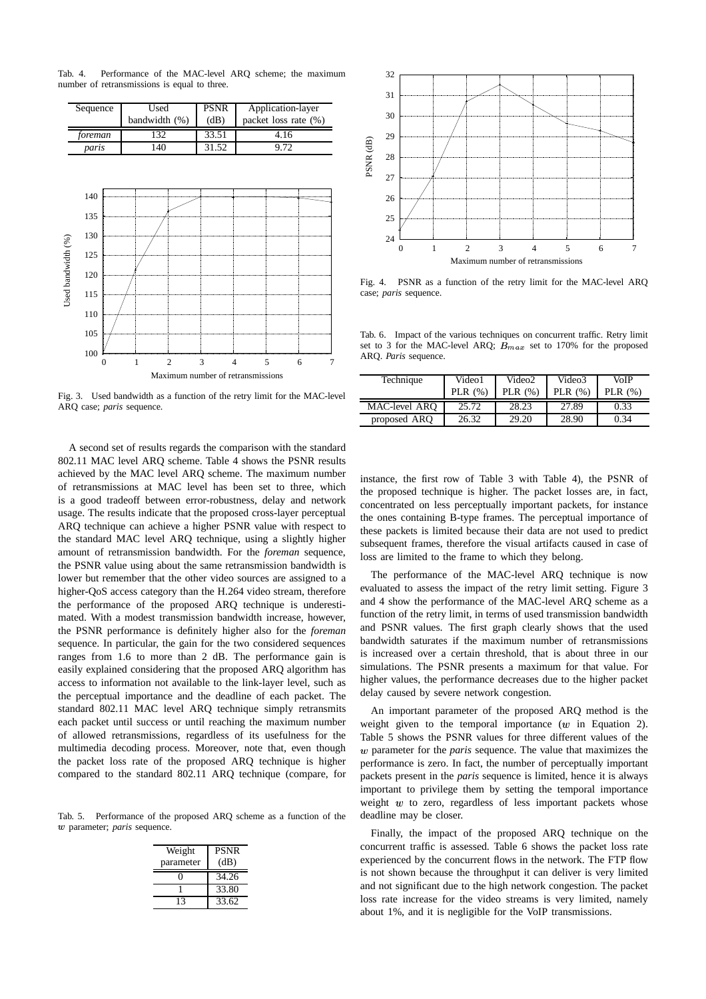Tab. 4. Performance of the MAC-level ARQ scheme; the maximum number of retransmissions is equal to three.



Fig. 3. Used bandwidth as a function of the retry limit for the MAC-level ARQ case; *paris* sequence.

A second set of results regards the comparison with the standard 802.11 MAC level ARQ scheme. Table 4 shows the PSNR results achieved by the MAC level ARQ scheme. The maximum number of retransmissions at MAC level has been set to three, which is a good tradeoff between error-robustness, delay and network usage. The results indicate that the proposed cross-layer perceptual ARQ technique can achieve a higher PSNR value with respect to the standard MAC level ARQ technique, using a slightly higher amount of retransmission bandwidth. For the *foreman* sequence, the PSNR value using about the same retransmission bandwidth is lower but remember that the other video sources are assigned to a higher-QoS access category than the H.264 video stream, therefore the performance of the proposed ARQ technique is underestimated. With a modest transmission bandwidth increase, however, the PSNR performance is definitely higher also for the *foreman* sequence. In particular, the gain for the two considered sequences ranges from 1.6 to more than 2 dB. The performance gain is easily explained considering that the proposed ARQ algorithm has access to information not available to the link-layer level, such as the perceptual importance and the deadline of each packet. The standard 802.11 MAC level ARQ technique simply retransmits each packet until success or until reaching the maximum number of allowed retransmissions, regardless of its usefulness for the multimedia decoding process. Moreover, note that, even though the packet loss rate of the proposed ARQ technique is higher compared to the standard 802.11 ARQ technique (compare, for

Tab. 5. Performance of the proposed ARQ scheme as a function of the parameter; *paris* sequence.

| Weight<br>parameter | <b>PSNR</b><br>(dB) |
|---------------------|---------------------|
|                     | 34.26               |
|                     | 33.80               |
| 13                  | 33.62               |



Fig. 4. PSNR as a function of the retry limit for the MAC-level ARQ case; *paris* sequence.

Tab. 6. Impact of the various techniques on concurrent traffic. Retry limit set to 3 for the MAC-level ARQ;  $B_{max}$  set to 170% for the proposed ARQ. *Paris* sequence.

| Technique     | Video1    | Video2    | Video3     | VoIP      |
|---------------|-----------|-----------|------------|-----------|
|               | PLR $(%)$ | PLR $(%)$ | PLR $(\%)$ | PLR $(%)$ |
| MAC-level ARO | 25.72     | 28.23     | 27.89      | 0.33      |
| proposed ARQ  | 26.32     | 29.20     | 28.90      | 0.34      |

instance, the first row of Table 3 with Table 4), the PSNR of the proposed technique is higher. The packet losses are, in fact, concentrated on less perceptually important packets, for instance the ones containing B-type frames. The perceptual importance of these packets is limited because their data are not used to predict subsequent frames, therefore the visual artifacts caused in case of loss are limited to the frame to which they belong.

The performance of the MAC-level ARQ technique is now evaluated to assess the impact of the retry limit setting. Figure 3 and 4 show the performance of the MAC-level ARQ scheme as a function of the retry limit, in terms of used transmission bandwidth and PSNR values. The first graph clearly shows that the used bandwidth saturates if the maximum number of retransmissions is increased over a certain threshold, that is about three in our simulations. The PSNR presents a maximum for that value. For higher values, the performance decreases due to the higher packet delay caused by severe network congestion.

An important parameter of the proposed ARQ method is the weight given to the temporal importance  $(w$  in Equation 2). Table 5 shows the PSNR values for three different values of the parameter for the *paris* sequence. The value that maximizes the performance is zero. In fact, the number of perceptually important packets present in the *paris* sequence is limited, hence it is always important to privilege them by setting the temporal importance weight  $w$  to zero, regardless of less important packets whose deadline may be closer.

Finally, the impact of the proposed ARQ technique on the concurrent traffic is assessed. Table 6 shows the packet loss rate experienced by the concurrent flows in the network. The FTP flow is not shown because the throughput it can deliver is very limited and not significant due to the high network congestion. The packet loss rate increase for the video streams is very limited, namely about 1%, and it is negligible for the VoIP transmissions.